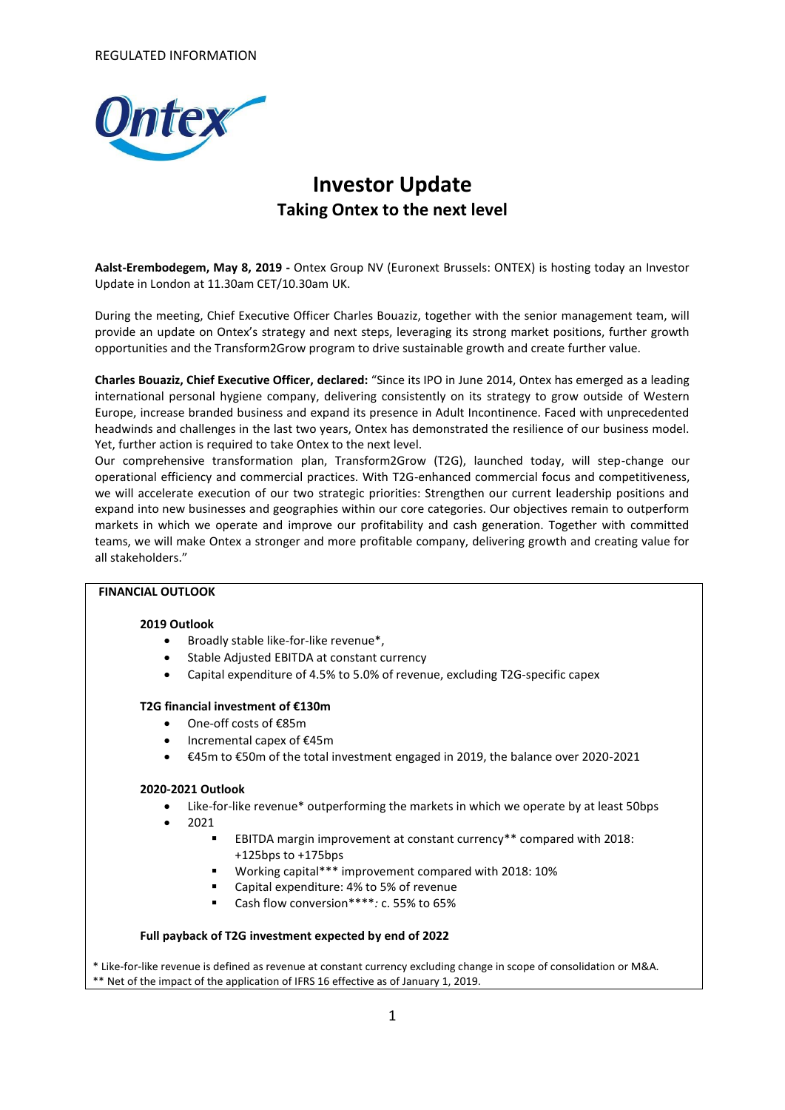

# **Investor Update Taking Ontex to the next level**

**Aalst-Erembodegem, May 8, 2019 -** Ontex Group NV (Euronext Brussels: ONTEX) is hosting today an Investor Update in London at 11.30am CET/10.30am UK.

During the meeting, Chief Executive Officer Charles Bouaziz, together with the senior management team, will provide an update on Ontex's strategy and next steps, leveraging its strong market positions, further growth opportunities and the Transform2Grow program to drive sustainable growth and create further value.

**Charles Bouaziz, Chief Executive Officer, declared:** "Since its IPO in June 2014, Ontex has emerged as a leading international personal hygiene company, delivering consistently on its strategy to grow outside of Western Europe, increase branded business and expand its presence in Adult Incontinence. Faced with unprecedented headwinds and challenges in the last two years, Ontex has demonstrated the resilience of our business model. Yet, further action is required to take Ontex to the next level.

Our comprehensive transformation plan, Transform2Grow (T2G), launched today, will step-change our operational efficiency and commercial practices. With T2G-enhanced commercial focus and competitiveness, we will accelerate execution of our two strategic priorities: Strengthen our current leadership positions and expand into new businesses and geographies within our core categories. Our objectives remain to outperform markets in which we operate and improve our profitability and cash generation. Together with committed teams, we will make Ontex a stronger and more profitable company, delivering growth and creating value for all stakeholders."

#### **FINANCIAL OUTLOOK**

#### **2019 Outlook**

- Broadly stable like-for-like revenue\*,
- Stable Adjusted EBITDA at constant currency
- Capital expenditure of 4.5% to 5.0% of revenue, excluding T2G-specific capex

#### **T2G financial investment of €130m**

- One-off costs of €85m
- Incremental capex of €45m
- €45m to €50m of the total investment engaged in 2019, the balance over 2020-2021

#### **2020-2021 Outlook**

- Like-for-like revenue\* outperforming the markets in which we operate by at least 50bps
	- $2021$ 
		- EBITDA margin improvement at constant currency\*\* compared with 2018: +125bps to +175bps
		- Working capital\*\*\* improvement compared with 2018: 10%
		- Capital expenditure: 4% to 5% of revenue
		- Cash flow conversion\*\*\*\**:* c. 55% to 65%

#### **Full payback of T2G investment expected by end of 2022**

\* Like-for-like revenue is defined as revenue at constant currency excluding change in scope of consolidation or M&A. \*\* Net of the impact of the application of IFRS 16 effective as of January 1, 2019.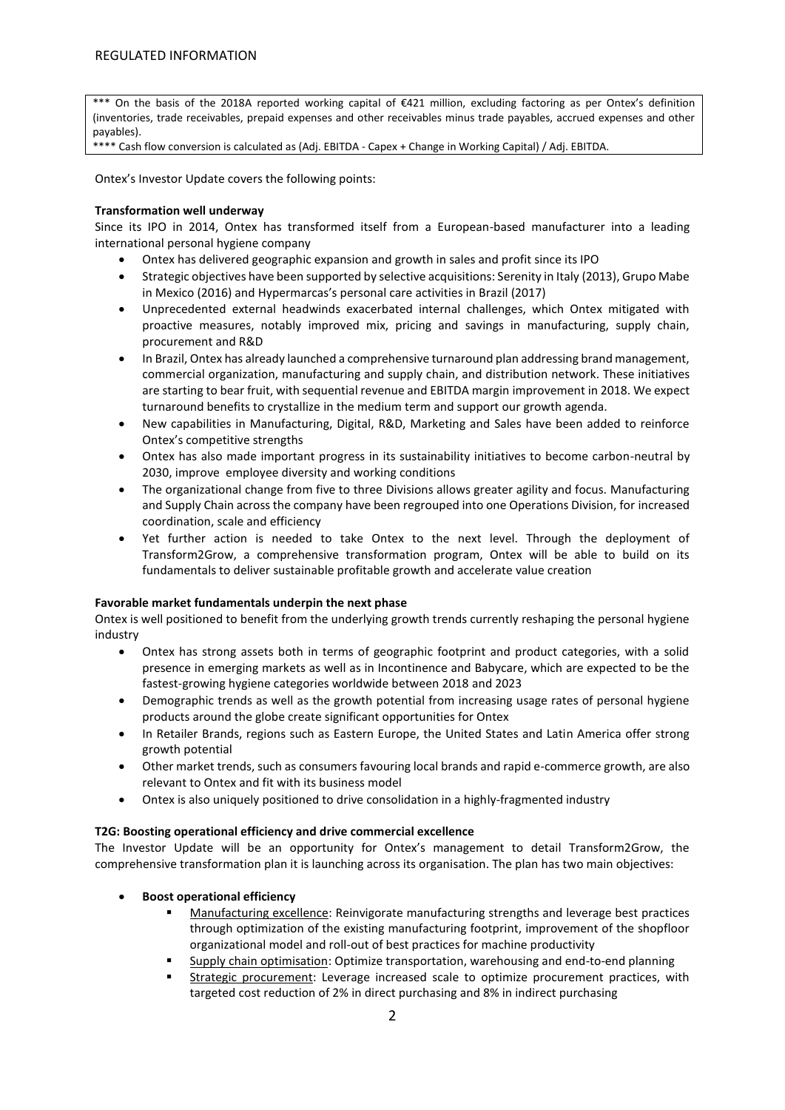\*\*\* On the basis of the 2018A reported working capital of €421 million, excluding factoring as per Ontex's definition (inventories, trade receivables, prepaid expenses and other receivables minus trade payables, accrued expenses and other payables).

\*\*\*\* Cash flow conversion is calculated as (Adj. EBITDA - Capex + Change in Working Capital) / Adj. EBITDA.

Ontex's Investor Update covers the following points:

#### **Transformation well underway**

Since its IPO in 2014, Ontex has transformed itself from a European-based manufacturer into a leading international personal hygiene company

- Ontex has delivered geographic expansion and growth in sales and profit since its IPO
- Strategic objectives have been supported by selective acquisitions: Serenity in Italy (2013), Grupo Mabe in Mexico (2016) and Hypermarcas's personal care activities in Brazil (2017)
- Unprecedented external headwinds exacerbated internal challenges, which Ontex mitigated with proactive measures, notably improved mix, pricing and savings in manufacturing, supply chain, procurement and R&D
- In Brazil, Ontex has already launched a comprehensive turnaround plan addressing brand management, commercial organization, manufacturing and supply chain, and distribution network. These initiatives are starting to bear fruit, with sequential revenue and EBITDA margin improvement in 2018. We expect turnaround benefits to crystallize in the medium term and support our growth agenda.
- New capabilities in Manufacturing, Digital, R&D, Marketing and Sales have been added to reinforce Ontex's competitive strengths
- Ontex has also made important progress in its sustainability initiatives to become carbon-neutral by 2030, improve employee diversity and working conditions
- The organizational change from five to three Divisions allows greater agility and focus. Manufacturing and Supply Chain across the company have been regrouped into one Operations Division, for increased coordination, scale and efficiency
- Yet further action is needed to take Ontex to the next level. Through the deployment of Transform2Grow, a comprehensive transformation program, Ontex will be able to build on its fundamentals to deliver sustainable profitable growth and accelerate value creation

#### **Favorable market fundamentals underpin the next phase**

Ontex is well positioned to benefit from the underlying growth trends currently reshaping the personal hygiene industry

- Ontex has strong assets both in terms of geographic footprint and product categories, with a solid presence in emerging markets as well as in Incontinence and Babycare, which are expected to be the fastest-growing hygiene categories worldwide between 2018 and 2023
- Demographic trends as well as the growth potential from increasing usage rates of personal hygiene products around the globe create significant opportunities for Ontex
- In Retailer Brands, regions such as Eastern Europe, the United States and Latin America offer strong growth potential
- Other market trends, such as consumers favouring local brands and rapid e-commerce growth, are also relevant to Ontex and fit with its business model
- Ontex is also uniquely positioned to drive consolidation in a highly-fragmented industry

#### **T2G: Boosting operational efficiency and drive commercial excellence**

The Investor Update will be an opportunity for Ontex's management to detail Transform2Grow, the comprehensive transformation plan it is launching across its organisation. The plan has two main objectives:

- **Boost operational efficiency** 
	- Manufacturing excellence: Reinvigorate manufacturing strengths and leverage best practices through optimization of the existing manufacturing footprint, improvement of the shopfloor organizational model and roll-out of best practices for machine productivity
	- Supply chain optimisation: Optimize transportation, warehousing and end-to-end planning
	- Strategic procurement: Leverage increased scale to optimize procurement practices, with targeted cost reduction of 2% in direct purchasing and 8% in indirect purchasing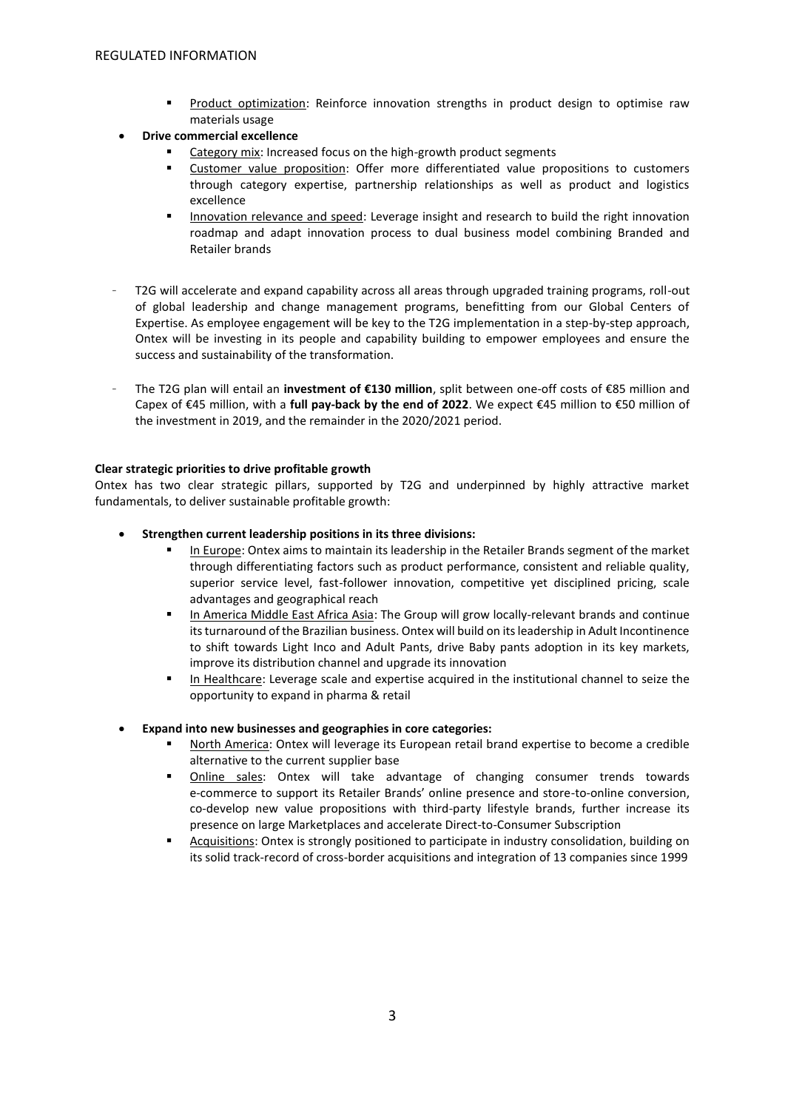- Product optimization: Reinforce innovation strengths in product design to optimise raw materials usage
- **Drive commercial excellence**
	- Category mix: Increased focus on the high-growth product segments
	- Customer value proposition: Offer more differentiated value propositions to customers through category expertise, partnership relationships as well as product and logistics excellence
	- Innovation relevance and speed: Leverage insight and research to build the right innovation roadmap and adapt innovation process to dual business model combining Branded and Retailer brands
- T2G will accelerate and expand capability across all areas through upgraded training programs, roll-out of global leadership and change management programs, benefitting from our Global Centers of Expertise. As employee engagement will be key to the T2G implementation in a step-by-step approach, Ontex will be investing in its people and capability building to empower employees and ensure the success and sustainability of the transformation.
- The T2G plan will entail an **investment of €130 million**, split between one-off costs of €85 million and Capex of €45 million, with a **full pay-back by the end of 2022**. We expect €45 million to €50 million of the investment in 2019, and the remainder in the 2020/2021 period.

### **Clear strategic priorities to drive profitable growth**

Ontex has two clear strategic pillars, supported by T2G and underpinned by highly attractive market fundamentals, to deliver sustainable profitable growth:

- **Strengthen current leadership positions in its three divisions:**
	- In Europe: Ontex aims to maintain its leadership in the Retailer Brands segment of the market through differentiating factors such as product performance, consistent and reliable quality, superior service level, fast-follower innovation, competitive yet disciplined pricing, scale advantages and geographical reach
	- In America Middle East Africa Asia: The Group will grow locally-relevant brands and continue its turnaround of the Brazilian business. Ontex will build on its leadership in Adult Incontinence to shift towards Light Inco and Adult Pants, drive Baby pants adoption in its key markets, improve its distribution channel and upgrade its innovation
	- In Healthcare: Leverage scale and expertise acquired in the institutional channel to seize the opportunity to expand in pharma & retail
- **Expand into new businesses and geographies in core categories:**
	- North America: Ontex will leverage its European retail brand expertise to become a credible alternative to the current supplier base
	- Online sales: Ontex will take advantage of changing consumer trends towards e-commerce to support its Retailer Brands' online presence and store-to-online conversion, co-develop new value propositions with third-party lifestyle brands, further increase its presence on large Marketplaces and accelerate Direct-to-Consumer Subscription
	- Acquisitions: Ontex is strongly positioned to participate in industry consolidation, building on its solid track-record of cross-border acquisitions and integration of 13 companies since 1999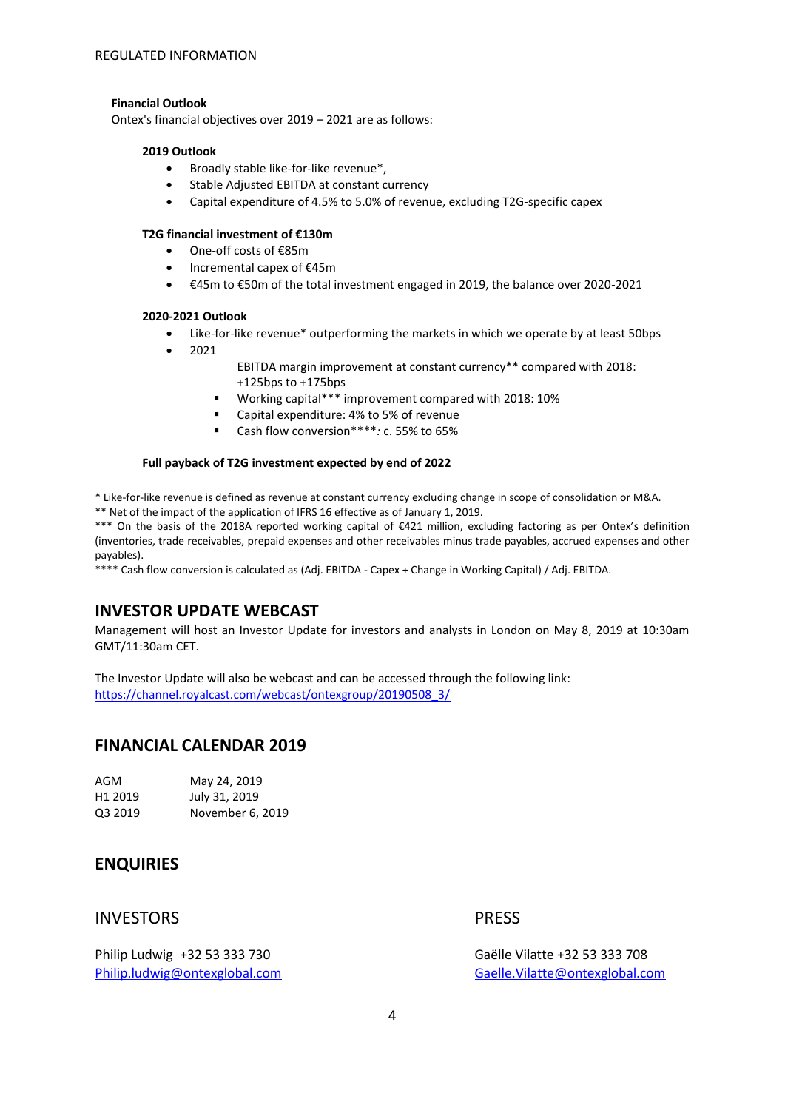### **Financial Outlook**

Ontex's financial objectives over 2019 – 2021 are as follows:

#### **2019 Outlook**

- Broadly stable like-for-like revenue\*,
- Stable Adjusted EBITDA at constant currency
- Capital expenditure of 4.5% to 5.0% of revenue, excluding T2G-specific capex

#### **T2G financial investment of €130m**

- One-off costs of €85m
- Incremental capex of €45m
- €45m to €50m of the total investment engaged in 2019, the balance over 2020-2021

#### **2020-2021 Outlook**

- Like-for-like revenue\* outperforming the markets in which we operate by at least 50bps
- 2021
- EBITDA margin improvement at constant currency\*\* compared with 2018: +125bps to +175bps
- Working capital\*\*\* improvement compared with 2018: 10%
- Capital expenditure: 4% to 5% of revenue
- Cash flow conversion\*\*\*\**:* c. 55% to 65%

### **Full payback of T2G investment expected by end of 2022**

\* Like-for-like revenue is defined as revenue at constant currency excluding change in scope of consolidation or M&A.

\*\* Net of the impact of the application of IFRS 16 effective as of January 1, 2019.

\*\*\* On the basis of the 2018A reported working capital of €421 million, excluding factoring as per Ontex's definition (inventories, trade receivables, prepaid expenses and other receivables minus trade payables, accrued expenses and other payables).

\*\*\*\* Cash flow conversion is calculated as (Adj. EBITDA - Capex + Change in Working Capital) / Adj. EBITDA.

## **INVESTOR UPDATE WEBCAST**

Management will host an Investor Update for investors and analysts in London on May 8, 2019 at 10:30am GMT/11:30am CET.

The Investor Update will also be webcast and can be accessed through the following link: [https://channel.royalcast.com/webcast/ontexgroup/20190508\\_3/](https://channel.royalcast.com/webcast/ontexgroup/20190508_3/)

## **FINANCIAL CALENDAR 2019**

| AGM                 | May 24, 2019     |
|---------------------|------------------|
| H <sub>1</sub> 2019 | July 31, 2019    |
| Q3 2019             | November 6, 2019 |

## **ENQUIRIES**

## INVESTORS PRESS

Philip Ludwig +32 53 333 730 Gaëlle Vilatte +32 53 333 708

[Philip.ludwig@ontexglobal.com](mailto:Philip.ludwig@ontexglobal.com) [Gaelle.Vilatte@ontexglobal.com](mailto:Gaelle.Vilatte@ontexglobal.com)